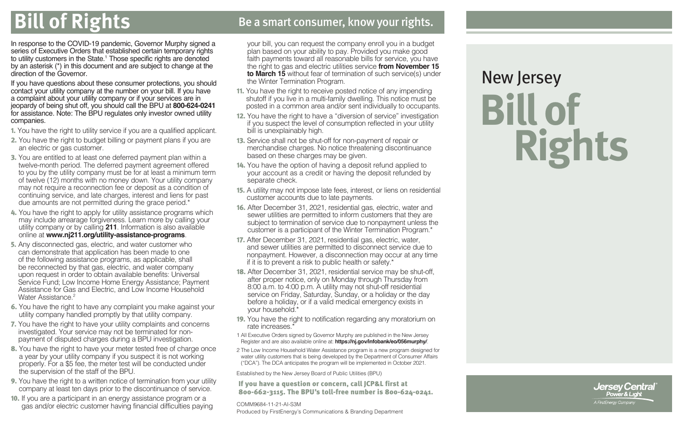### **Bill of Rights** Be a smart consumer, know your rights.

In response to the COVID-19 pandemic, Governor Murphy signed a series of Executive Orders that established certain temporary rights to utility customers in the State.1 Those specific rights are denoted by an asterisk (\*) in this document and are subject to change at the direction of the Governor.

If you have questions about these consumer protections, you should contact your utility company at the number on your bill. If you have a complaint about your utility company or if your services are in jeopardy of being shut off, you should call the BPU at **800-624-0241** for assistance. Note: The BPU regulates only investor owned utility companies.

- 1. You have the right to utility service if you are a qualified applicant.
- 2. You have the right to budget billing or payment plans if you are an electric or gas customer.
- 3. You are entitled to at least one deferred payment plan within a twelve-month period. The deferred payment agreement offered to you by the utility company must be for at least a minimum term of twelve (12) months with no money down. Your utility company may not require a reconnection fee or deposit as a condition of continuing service, and late charges, interest and liens for past due amounts are not permitted during the grace period.\*
- 4. You have the right to apply for utility assistance programs which may include arrearage forgiveness. Learn more by calling your utility company or by calling **211**. Information is also available online at **www.nj211.org/utility-assistance-programs**.
- 5. Any disconnected gas, electric, and water customer who can demonstrate that application has been made to one of the following assistance programs, as applicable, shall be reconnected by that gas, electric, and water company upon request in order to obtain available benefits: Universal Service Fund; Low Income Home Energy Assistance; Payment Assistance for Gas and Electric, and Low Income Household Water Assistance<sup>2</sup>
- 6. You have the right to have any complaint you make against your utility company handled promptly by that utility company.
- 7. You have the right to have your utility complaints and concerns investigated. Your service may not be terminated for nonpayment of disputed charges during a BPU investigation.
- 8. You have the right to have your meter tested free of charge once a year by your utility company if you suspect it is not working properly. For a \$5 fee, the meter test will be conducted under the supervision of the staff of the BPU.
- 9. You have the right to a written notice of termination from your utility company at least ten days prior to the discontinuance of service.
- 10. If you are a participant in an energy assistance program or a gas and/or electric customer having financial difficulties paying

your bill, you can request the company enroll you in a budget plan based on your ability to pay. Provided you make good faith payments toward all reasonable bills for service, you have the right to gas and electric utilities service **from November 15 to March 15** without fear of termination of such service(s) under the Winter Termination Program.

- 11. You have the right to receive posted notice of any impending shutoff if you live in a multi-family dwelling. This notice must be posted in a common area and/or sent individually to occupants.
- 12. You have the right to have a "diversion of service" investigation if you suspect the level of consumption reflected in your utility bill is unexplainably high.
- 13. Service shall not be shut-off for non-payment of repair or merchandise charges. No notice threatening discontinuance based on these charges may be given.
- 14. You have the option of having a deposit refund applied to your account as a credit or having the deposit refunded by separate check.
- 15. A utility may not impose late fees, interest, or liens on residential customer accounts due to late payments.
- 16. After December 31, 2021, residential gas, electric, water and sewer utilities are permitted to inform customers that they are subject to termination of service due to nonpayment unless the customer is a participant of the Winter Termination Program.\*
- 17. After December 31, 2021, residential gas, electric, water, and sewer utilities are permitted to disconnect service due to nonpayment. However, a disconnection may occur at any time if it is to prevent a risk to public health or safety.\*
- 18. After December 31, 2021, residential service may be shut-off, after proper notice, only on Monday through Thursday from 8:00 a.m. to 4:00 p.m. A utility may not shut-off residential service on Friday, Saturday, Sunday, or a holiday or the day before a holiday, or if a valid medical emergency exists in your household.\*
- 19. You have the right to notification regarding any moratorium on rate increases.<sup>\*</sup>

1 All Executive Orders signed by Governor Murphy are published in the New Jersey Register and are also available online at: **https://nj.gov/infobank/eo/056murphy/**.

2 The Low Income Household Water Assistance program is a new program designed for water utility customers that is being developed by the Department of Consumer Affairs ("DCA"). The DCA anticipates the program will be implemented in October 2021.

Established by the New Jersey Board of Public Utilities (BPU)

If you have a question or concern, call JCP&L first at 800-662-3115. The BPU's toll-free number is 800-624-0241.

#### COMM9684-11-21-AI-S3M Produced by FirstEnergy's Communications & Branding Department

# **Bill of Rights** New Jersey

Jersey Central A FirstEnergy Company